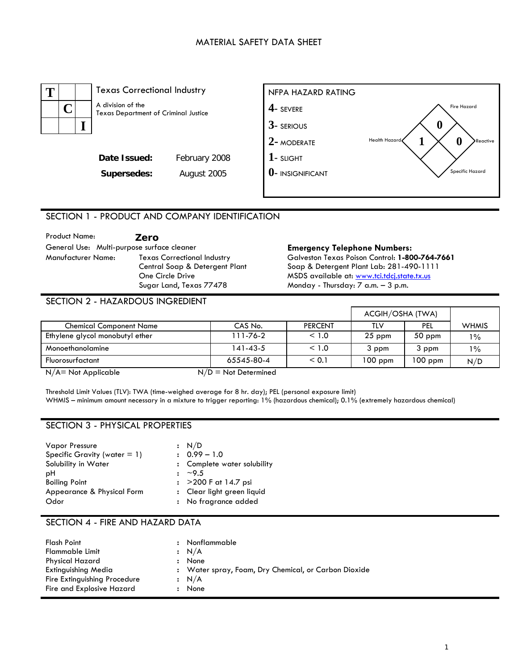### MATERIAL SAFETY DATA SHEET



# SECTION 1 - PRODUCT AND COMPANY IDENTIFICATION

| <b>Product Name:</b>                       | Zero                                                                 |
|--------------------------------------------|----------------------------------------------------------------------|
| General Use: Multi-purpose surface cleaner |                                                                      |
| Manufacturer Name:                         | <b>Texas Correctional Industry</b><br>Central Soap & Detergent Plant |
|                                            | One Circle Drive                                                     |
|                                            | Sugar Land, Texas 77478                                              |

#### **Emergency Telephone Numbers:** Galveston Texas Poison Control: **1-800-764-7661**  Soap & Detergent Plant Lab: 281-490-1111 MSDS available at: [www.tci.tdcj.state.tx.us](http://www.tci.tdcj.state.tx.us/) Monday - Thursday: 7 a.m. – 3 p.m.

### SECTION 2 - HAZARDOUS INGREDIENT

|                                 |            |                | ACGIH/OSHA (TWA) |           |              |
|---------------------------------|------------|----------------|------------------|-----------|--------------|
| <b>Chemical Component Name</b>  | CAS No.    | <b>PERCENT</b> | TLV              | PEL       | <b>WHMIS</b> |
| Ethylene glycol monobutyl ether | 111-76-2   | < 1.0          | $25$ ppm         | $50$ ppm  | $1\%$        |
| Monoethanolamine                | 141-43-5   | < 1.0          | 3 ppm            | 3 ppm     | $1\%$        |
| Fluorosurfactant                | 65545-80-4 | < 0.1          | $100$ ppm        | $100$ ppm | N/D          |

 $N/A$  = Not Applicable  $N/D$  = Not Determined

Threshold Limit Values (TLV): TWA (time-weighed average for 8 hr. day); PEL (personal exposure limit) WHMIS – minimum amount necessary in a mixture to trigger reporting: 1% (hazardous chemical); 0.1% (extremely hazardous chemical)

#### SECTION 3 - PHYSICAL PROPERTIES

| <b>Vapor Pressure</b>           | : N/D                       |
|---------------------------------|-----------------------------|
| Specific Gravity (water $= 1$ ) | $: 0.99 - 1.0$              |
| Solubility in Water             | : Complete water solubility |
| рH                              | $\frac{1}{2}$ ~9.5          |
| <b>Boiling Point</b>            | : $>200$ F at 14.7 psi      |
| Appearance & Physical Form      | : Clear light green liquid  |
| Odor                            | : No fragrance added        |

#### SECTION 4 - FIRE AND HAZARD DATA

| Flash Point<br>$\mathbf{r}$               | Nonflammable                                         |
|-------------------------------------------|------------------------------------------------------|
| Flammable Limit                           | : N/A                                                |
| <b>Physical Hazard</b><br>$\mathbf{r}$    | None                                                 |
| Extinguishing Media                       | : Water spray, Foam, Dry Chemical, or Carbon Dioxide |
| Fire Extinguishing Procedure              | : N/A                                                |
| Fire and Explosive Hazard<br>$\mathbf{r}$ | None                                                 |